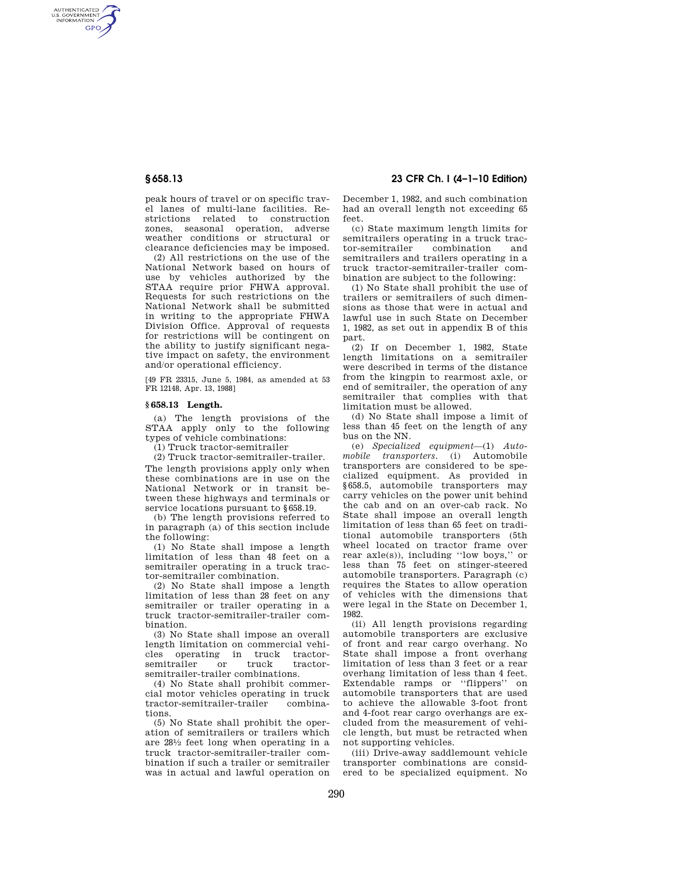AUTHENTICATED<br>U.S. GOVERNMENT<br>INFORMATION **GPO** 

> peak hours of travel or on specific travel lanes of multi-lane facilities. Restrictions related to construction zones, seasonal operation, adverse weather conditions or structural or clearance deficiencies may be imposed.

> (2) All restrictions on the use of the National Network based on hours of use by vehicles authorized by the STAA require prior FHWA approval. Requests for such restrictions on the National Network shall be submitted in writing to the appropriate FHWA Division Office. Approval of requests for restrictions will be contingent on the ability to justify significant negative impact on safety, the environment and/or operational efficiency.

[49 FR 23315, June 5, 1984, as amended at 53 FR 12148, Apr. 13, 1988]

## **§ 658.13 Length.**

(a) The length provisions of the STAA apply only to the following types of vehicle combinations:

(1) Truck tractor-semitrailer

(2) Truck tractor-semitrailer-trailer. The length provisions apply only when these combinations are in use on the National Network or in transit between these highways and terminals or service locations pursuant to §658.19.

(b) The length provisions referred to in paragraph (a) of this section include the following:

(1) No State shall impose a length limitation of less than 48 feet on a semitrailer operating in a truck tractor-semitrailer combination.

(2) No State shall impose a length limitation of less than 28 feet on any semitrailer or trailer operating in a truck tractor-semitrailer-trailer combination.

(3) No State shall impose an overall length limitation on commercial vehicles operating in truck tractorsemitrailer or truck tractorsemitrailer-trailer combinations.

(4) No State shall prohibit commercial motor vehicles operating in truck tractor-semitrailer-trailer combinations.

(5) No State shall prohibit the operation of semitrailers or trailers which are 281⁄2 feet long when operating in a truck tractor-semitrailer-trailer combination if such a trailer or semitrailer was in actual and lawful operation on

**§ 658.13 23 CFR Ch. I (4–1–10 Edition)** 

December 1, 1982, and such combination had an overall length not exceeding 65 feet.

(c) State maximum length limits for semitrailers operating in a truck tractor-semitrailer combination and semitrailers and trailers operating in a truck tractor-semitrailer-trailer combination are subject to the following:

(1) No State shall prohibit the use of trailers or semitrailers of such dimensions as those that were in actual and lawful use in such State on December 1, 1982, as set out in appendix B of this part.

(2) If on December 1, 1982, State length limitations on a semitrailer were described in terms of the distance from the kingpin to rearmost axle, or end of semitrailer, the operation of any semitrailer that complies with that limitation must be allowed.

(d) No State shall impose a limit of less than 45 feet on the length of any bus on the NN.

(e) *Specialized equipment*—(1) *Automobile transporters.* (i) Automobile transporters are considered to be specialized equipment. As provided in §658.5, automobile transporters may carry vehicles on the power unit behind the cab and on an over-cab rack. No State shall impose an overall length limitation of less than 65 feet on traditional automobile transporters (5th wheel located on tractor frame over rear axle(s)), including ''low boys,'' or less than 75 feet on stinger-steered automobile transporters. Paragraph (c) requires the States to allow operation of vehicles with the dimensions that were legal in the State on December 1, 1982.

(ii) All length provisions regarding automobile transporters are exclusive of front and rear cargo overhang. No State shall impose a front overhang limitation of less than 3 feet or a rear overhang limitation of less than 4 feet. Extendable ramps or ''flippers'' on automobile transporters that are used to achieve the allowable 3-foot front and 4-foot rear cargo overhangs are excluded from the measurement of vehicle length, but must be retracted when not supporting vehicles.

(iii) Drive-away saddlemount vehicle transporter combinations are considered to be specialized equipment. No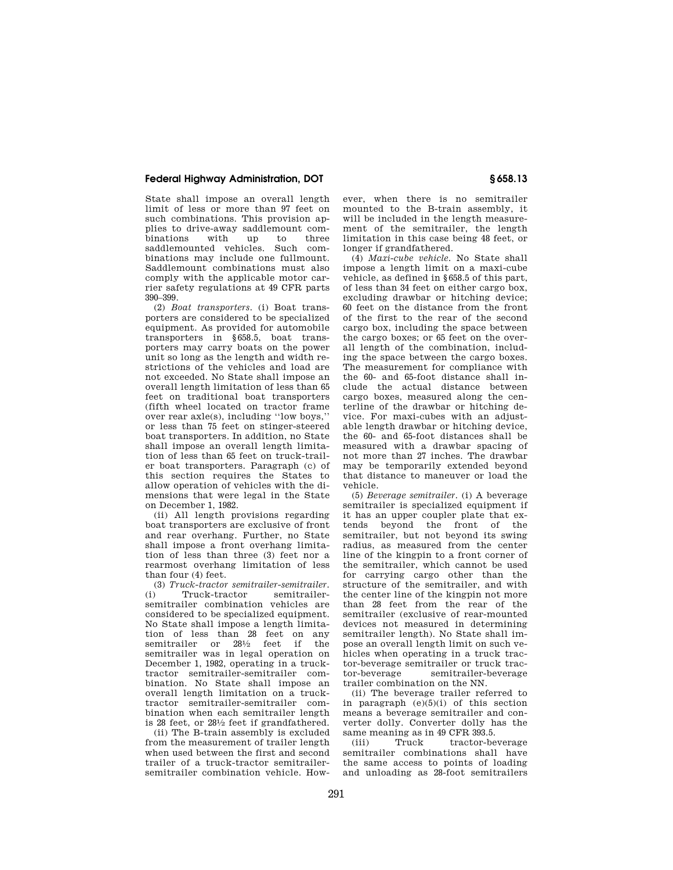## **Federal Highway Administration, DOT § 658.13**

State shall impose an overall length limit of less or more than 97 feet on such combinations. This provision applies to drive-away saddlemount com-<br>binations with up to three binations with up to saddlemounted vehicles. Such combinations may include one fullmount. Saddlemount combinations must also comply with the applicable motor carrier safety regulations at 49 CFR parts 390–399.

(2) *Boat transporters.* (i) Boat transporters are considered to be specialized equipment. As provided for automobile transporters in §658.5, boat transporters may carry boats on the power unit so long as the length and width restrictions of the vehicles and load are not exceeded. No State shall impose an overall length limitation of less than 65 feet on traditional boat transporters (fifth wheel located on tractor frame over rear axle(s), including ''low boys,'' or less than 75 feet on stinger-steered boat transporters. In addition, no State shall impose an overall length limitation of less than 65 feet on truck-trailer boat transporters. Paragraph (c) of this section requires the States to allow operation of vehicles with the dimensions that were legal in the State on December 1, 1982.

(ii) All length provisions regarding boat transporters are exclusive of front and rear overhang. Further, no State shall impose a front overhang limitation of less than three (3) feet nor a rearmost overhang limitation of less than four (4) feet.

(3) *Truck-tractor semitrailer-semitrailer.*  Truck-tractor semitrailersemitrailer combination vehicles are considered to be specialized equipment. No State shall impose a length limitation of less than 28 feet on any semitrailer or 28<sup>1/2</sup> feet if the semitrailer was in legal operation on December 1, 1982, operating in a trucktractor semitrailer-semitrailer combination. No State shall impose an overall length limitation on a trucktractor semitrailer-semitrailer combination when each semitrailer length is 28 feet, or 281⁄2 feet if grandfathered.

(ii) The B-train assembly is excluded from the measurement of trailer length when used between the first and second trailer of a truck-tractor semitrailersemitrailer combination vehicle. However, when there is no semitrailer mounted to the B-train assembly, it will be included in the length measurement of the semitrailer, the length limitation in this case being 48 feet, or longer if grandfathered.

(4) *Maxi-cube vehicle.* No State shall impose a length limit on a maxi-cube vehicle, as defined in §658.5 of this part, of less than 34 feet on either cargo box, excluding drawbar or hitching device; 60 feet on the distance from the front of the first to the rear of the second cargo box, including the space between the cargo boxes; or 65 feet on the overall length of the combination, including the space between the cargo boxes. The measurement for compliance with the 60- and 65-foot distance shall include the actual distance between cargo boxes, measured along the centerline of the drawbar or hitching device. For maxi-cubes with an adjustable length drawbar or hitching device, the 60- and 65-foot distances shall be measured with a drawbar spacing of not more than 27 inches. The drawbar may be temporarily extended beyond that distance to maneuver or load the vehicle.

(5) *Beverage semitrailer.* (i) A beverage semitrailer is specialized equipment if it has an upper coupler plate that extends beyond the front of the semitrailer, but not beyond its swing radius, as measured from the center line of the kingpin to a front corner of the semitrailer, which cannot be used for carrying cargo other than the structure of the semitrailer, and with the center line of the kingpin not more than 28 feet from the rear of the semitrailer (exclusive of rear-mounted devices not measured in determining semitrailer length). No State shall impose an overall length limit on such vehicles when operating in a truck tractor-beverage semitrailer or truck tracsemitrailer-beverage trailer combination on the NN.

(ii) The beverage trailer referred to in paragraph  $(e)(5)(i)$  of this section means a beverage semitrailer and converter dolly. Converter dolly has the same meaning as in 49 CFR 393.5.<br>(iii) Truck tractor-be

tractor-beverage semitrailer combinations shall have the same access to points of loading and unloading as 28-foot semitrailers